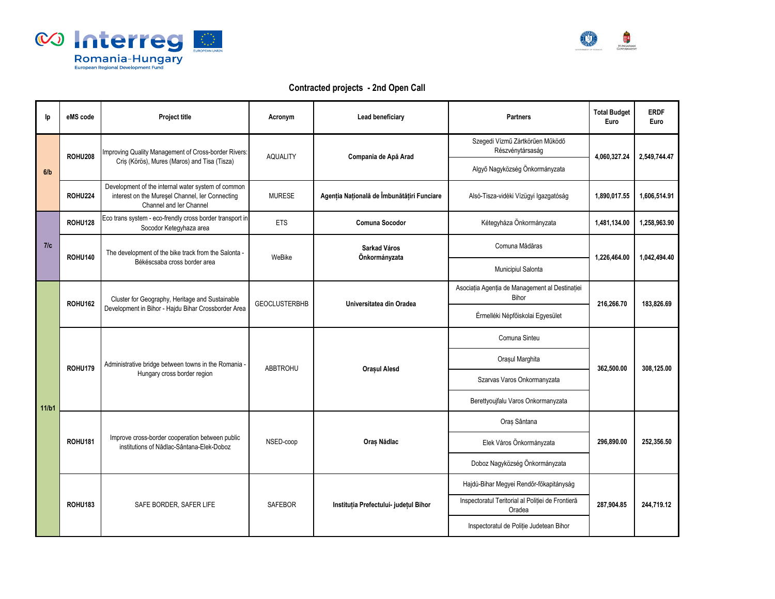



## **Contracted projects - 2nd Open Call**

| lp.   | eMS code       | Project title                                                                                                                    | Acronym              | <b>Lead beneficiary</b>                    | <b>Partners</b>                                             | <b>Total Budget</b><br>Euro | <b>ERDF</b><br>Euro |
|-------|----------------|----------------------------------------------------------------------------------------------------------------------------------|----------------------|--------------------------------------------|-------------------------------------------------------------|-----------------------------|---------------------|
|       | <b>ROHU208</b> | Improving Quality Management of Cross-border Rivers:<br>Cris (Körös), Mures (Maros) and Tisa (Tisza)                             | <b>AQUALITY</b>      | Compania de Apă Arad                       | Szegedi Vízmű Zártkörűen Működő<br>Részvénytársaság         | 4,060,327.24                | 2,549,744.47        |
| 6/b   |                |                                                                                                                                  |                      |                                            | Algyő Nagyközség Önkormányzata                              |                             |                     |
|       | <b>ROHU224</b> | Development of the internal water system of common<br>interest on the Mureşel Channel, ler Connecting<br>Channel and Ier Channel | <b>MURESE</b>        | Agenția Națională de Îmbunătățiri Funciare | Alsó-Tisza-vidéki Vízügyi Igazgatóság                       | 1.890.017.55                | 1.606.514.91        |
|       | <b>ROHU128</b> | Eco trans system - eco-frendly cross border transport in<br>Socodor Ketegyhaza area                                              | <b>ETS</b>           | Comuna Socodor                             | Kétegyháza Önkormányzata                                    | 1,481,134.00                | 1,258,963.90        |
| 7/c   | <b>ROHU140</b> | The development of the bike track from the Salonta -<br>Békéscsaba cross border area                                             | WeBike               | Sarkad Város<br>Önkormányzata              | Comuna Mădăras                                              | 1,226,464.00                | 1.042.494.40        |
|       |                |                                                                                                                                  |                      |                                            | Municipiul Salonta                                          |                             |                     |
|       | <b>ROHU162</b> | Cluster for Geography, Heritage and Sustainable<br>Development in Bihor - Hajdu Bihar Crossborder Area                           | <b>GEOCLUSTERBHB</b> | Universitatea din Oradea                   | Asociația Agenția de Management al Destinației<br>Bihor     | 216,266.70                  | 183,826.69          |
|       |                |                                                                                                                                  |                      |                                            | Érmelléki Népfőiskolai Egyesület                            |                             |                     |
|       | <b>ROHU179</b> | Administrative bridge between towns in the Romania -<br>Hungary cross border region                                              | <b>ABBTROHU</b>      | <b>Orașul Alesd</b>                        | Comuna Sinteu                                               | 362,500.00                  | 308,125.00          |
|       |                |                                                                                                                                  |                      |                                            | Orașul Marghita                                             |                             |                     |
|       |                |                                                                                                                                  |                      |                                            | Szarvas Varos Onkormanyzata                                 |                             |                     |
| 11/b1 |                |                                                                                                                                  |                      |                                            | Berettyoujfalu Varos Onkormanyzata                          |                             |                     |
|       | <b>ROHU181</b> | Improve cross-border cooperation between public<br>institutions of Nădlac-Sântana-Elek-Doboz                                     | NSED-coop            | Oraș Nădlac                                | Oraș Sântana                                                | 296.890.00                  | 252.356.50          |
|       |                |                                                                                                                                  |                      |                                            | Elek Város Önkormányzata                                    |                             |                     |
|       |                |                                                                                                                                  |                      |                                            | Doboz Nagyközség Önkormányzata                              |                             |                     |
|       | <b>ROHU183</b> | SAFE BORDER, SAFER LIFE                                                                                                          | <b>SAFEBOR</b>       | Instituția Prefectului- județul Bihor      | Hajdú-Bihar Megyei Rendőr-főkapitányság                     | 287.904.85                  | 244.719.12          |
|       |                |                                                                                                                                  |                      |                                            | Inspectoratul Teritorial al Poliției de Frontieră<br>Oradea |                             |                     |
|       |                |                                                                                                                                  |                      |                                            | Inspectoratul de Poliție Judetean Bihor                     |                             |                     |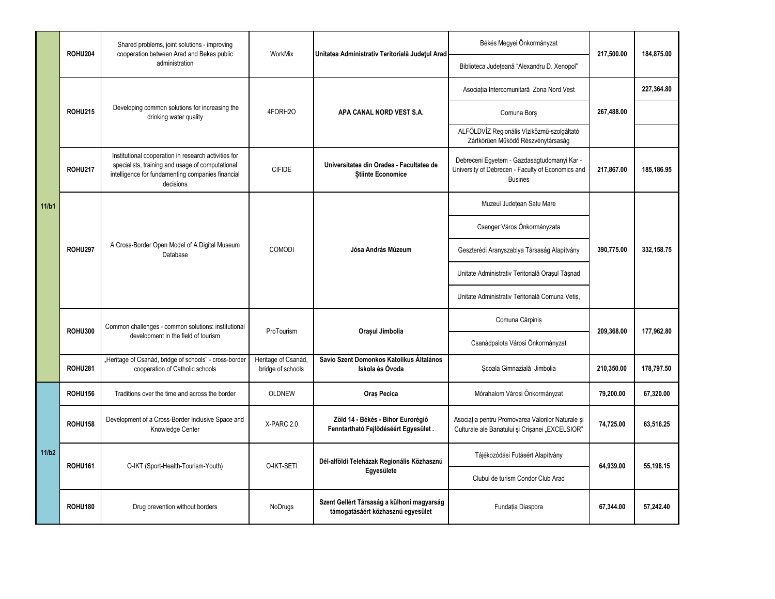|       | <b>ROHU204</b> | Shared problems, joint solutions - improving<br>cooperation between Arad and Bekes public                                                                                  | WorkMix                                  | Unitatea Administrativ Teritorială Județul Arad                                 | Békés Megyei Önkormányzat                                                                                          | 217,500.00               | 184,875.00 |
|-------|----------------|----------------------------------------------------------------------------------------------------------------------------------------------------------------------------|------------------------------------------|---------------------------------------------------------------------------------|--------------------------------------------------------------------------------------------------------------------|--------------------------|------------|
|       |                | administration                                                                                                                                                             |                                          |                                                                                 | Biblioteca Județeană "Alexandru D. Xenopol"                                                                        |                          |            |
|       | <b>ROHU215</b> | Developing common solutions for increasing the<br>drinking water quality                                                                                                   | 4FORH2O                                  | APA CANAL NORD VEST S.A.                                                        | Asociația Intercomunitară Zona Nord Vest                                                                           | 267,488.00               | 227,364.80 |
|       |                |                                                                                                                                                                            |                                          |                                                                                 | Comuna Bors                                                                                                        |                          |            |
|       |                |                                                                                                                                                                            |                                          |                                                                                 | ALFÖLDVÍZ Regionális Víziközmű-szolgáltató<br>Zártkörűen Működő Részvénytársaság                                   |                          |            |
|       | <b>ROHU217</b> | Institutional cooperation in research activities for<br>specialists, training and usage of computational<br>intelligence for fundamenting companies financial<br>decisions | <b>CIFIDE</b>                            | Universitatea din Oradea - Facultatea de<br><b>Stiinte Economice</b>            | Debreceni Egyetem - Gazdasagtudomanyi Kar -<br>University of Debrecen - Faculty of Economics and<br><b>Busines</b> | 217,867.00               | 185,186.95 |
| 11/b1 | <b>ROHU297</b> | A Cross-Border Open Model of A Digital Museum<br>Database                                                                                                                  | COMODI                                   | Jósa András Múzeum<br>Orașul Jimbolia                                           | Muzeul Județean Satu Mare                                                                                          | 390,775.00<br>209.368.00 |            |
|       |                |                                                                                                                                                                            |                                          |                                                                                 | Csenger Város Önkormányzata                                                                                        |                          |            |
|       |                |                                                                                                                                                                            |                                          |                                                                                 | Geszterédi Aranyszablya Társaság Alapítvány                                                                        |                          | 332,158.75 |
|       |                |                                                                                                                                                                            |                                          |                                                                                 | Unitate Administrativ Teritorială Orașul Tășnad                                                                    |                          |            |
|       |                |                                                                                                                                                                            |                                          |                                                                                 | Unitate Administrativ Teritorială Comuna Vetis,                                                                    |                          |            |
|       | <b>ROHU300</b> | Common challenges - common solutions: institutional<br>development in the field of tourism                                                                                 | ProTourism                               |                                                                                 | Comuna Cărpiniș                                                                                                    |                          | 177.962.80 |
|       |                |                                                                                                                                                                            |                                          |                                                                                 | Csanádpalota Városi Önkormányzat                                                                                   |                          |            |
|       | <b>ROHU281</b> | "Heritage of Csanád, bridge of schools" - cross-border<br>cooperation of Catholic schools                                                                                  | Heritage of Csanád,<br>bridge of schools | Savio Szent Domonkos Katolikus Általános<br>Iskola és Óvoda                     | Scoala Gimnazială Jimbolia                                                                                         | 210,350.00               | 178.797.50 |
|       | <b>ROHU156</b> | Traditions over the time and across the border                                                                                                                             | <b>OLDNEW</b>                            | Oraș Pecica                                                                     | Mórahalom Városi Önkormányzat                                                                                      | 79,200.00                | 67,320.00  |
|       | <b>ROHU158</b> | Development of a Cross-Border Inclusive Space and<br>Knowledge Center                                                                                                      | X-PARC 2.0                               | Zöld 14 - Békés - Bihor Eurorégió<br>Fenntartható Fejlődéséért Egyesület.       | Asociația pentru Promovarea Valorilor Naturale și<br>Culturale ale Banatului și Crișanei "EXCELSIOR"               | 74,725.00                | 63.516.25  |
| 11/b2 | <b>ROHU161</b> | O-IKT (Sport-Health-Tourism-Youth)                                                                                                                                         | O-IKT-SETI                               | Dél-alföldi Teleházak Regionális Közhasznú<br>Egyesülete                        | Tájékozódási Futásért Alapítvány                                                                                   | 64,939.00                | 55.198.15  |
|       |                |                                                                                                                                                                            |                                          |                                                                                 | Clubul de turism Condor Club Arad                                                                                  |                          |            |
|       | <b>ROHU180</b> | Drug prevention without borders                                                                                                                                            | NoDrugs                                  | Szent Gellért Társaság a külhoni magyarság<br>támogatásáért közhasznú egyesület | Fundația Diaspora                                                                                                  | 67,344.00                | 57,242.40  |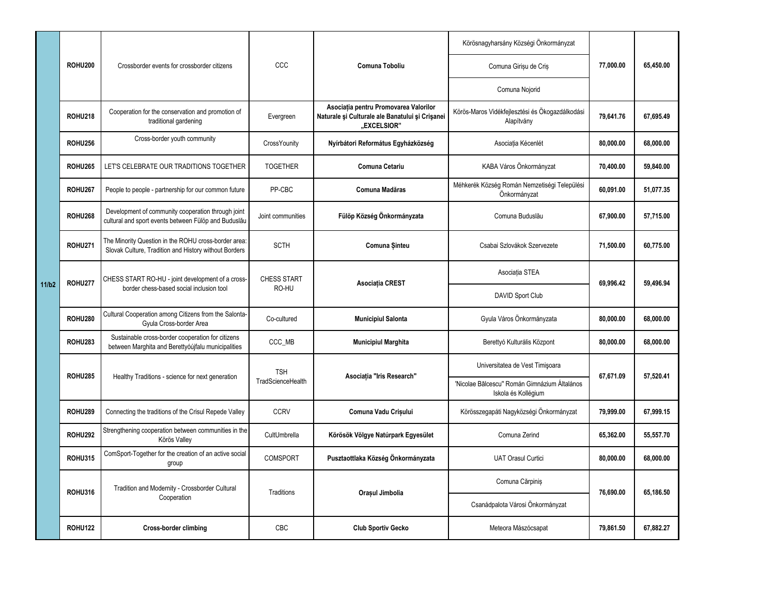|       | <b>ROHU200</b> | Crossborder events for crossborder citizens                                                                   | CCC                             | Comuna Toboliu                                                                                          | Körösnagyharsány Községi Önkormányzat                               | 77.000.00 | 65,450.00 |
|-------|----------------|---------------------------------------------------------------------------------------------------------------|---------------------------------|---------------------------------------------------------------------------------------------------------|---------------------------------------------------------------------|-----------|-----------|
|       |                |                                                                                                               |                                 |                                                                                                         | Comuna Girișu de Criș                                               |           |           |
|       |                |                                                                                                               |                                 |                                                                                                         | Comuna Nojorid                                                      |           |           |
|       | <b>ROHU218</b> | Cooperation for the conservation and promotion of<br>traditional gardening                                    | Evergreen                       | Asociația pentru Promovarea Valorilor<br>Naturale și Culturale ale Banatului și Crișanei<br>"EXCELSIOR" | Körös-Maros Vidékfejlesztési és Ökogazdálkodási<br>Alapítvány       | 79.641.76 | 67.695.49 |
|       | <b>ROHU256</b> | Cross-border youth community                                                                                  | CrossYounity                    | Nyírbátori Református Egyházközség                                                                      | Asociația Kécenlét                                                  | 80,000.00 | 68.000.00 |
|       | <b>ROHU265</b> | LET'S CELEBRATE OUR TRADITIONS TOGETHER                                                                       | <b>TOGETHER</b>                 | Comuna Cetariu                                                                                          | KABA Város Önkormányzat                                             | 70.400.00 | 59.840.00 |
|       | <b>ROHU267</b> | People to people - partnership for our common future                                                          | PP-CBC                          | Comuna Madăras                                                                                          | Méhkerék Község Román Nemzetiségi Települési<br>Önkormányzat        | 60,091.00 | 51,077.35 |
|       | <b>ROHU268</b> | Development of community cooperation through joint<br>cultural and sport events between Fülöp and Buduslău    | Joint communities               | Fülöp Község Önkormányzata                                                                              | Comuna Buduslău                                                     | 67,900.00 | 57.715.00 |
|       | <b>ROHU271</b> | The Minority Question in the ROHU cross-border area:<br>Slovak Culture, Tradition and History without Borders | <b>SCTH</b>                     | Comuna Sinteu                                                                                           | Csabai Szlovákok Szervezete                                         | 71,500.00 | 60.775.00 |
| 11/b2 | <b>ROHU277</b> | CHESS START RO-HU - joint development of a cross-<br>border chess-based social inclusion tool                 | CHESS START<br>RO-HU            | Asociația CREST                                                                                         | Asociația STEA                                                      | 69,996.42 | 59,496.94 |
|       |                |                                                                                                               |                                 |                                                                                                         | DAVID Sport Club                                                    |           |           |
|       | <b>ROHU280</b> | Cultural Cooperation among Citizens from the Salonta-<br>Gyula Cross-border Area                              | Co-cultured                     | <b>Municipiul Salonta</b>                                                                               | Gyula Város Önkormányzata                                           | 80,000.00 | 68,000.00 |
|       | <b>ROHU283</b> | Sustainable cross-border cooperation for citizens<br>between Marghita and Berettyóújfalu municipalities       | CCC MB                          | <b>Municipiul Marghita</b>                                                                              | Berettyó Kulturális Központ                                         | 80,000.00 | 68,000.00 |
|       | <b>ROHU285</b> | Healthy Traditions - science for next generation                                                              | <b>TSH</b><br>TradScienceHealth | Asociația "Iris Research"                                                                               | Universitatea de Vest Timişoara                                     | 67.671.09 | 57,520.41 |
|       |                |                                                                                                               |                                 |                                                                                                         | 'Nicolae Bālcescu" Román Gimnázium Általános<br>Iskola és Kollégium |           |           |
|       | <b>ROHU289</b> | Connecting the traditions of the Crisul Repede Valley                                                         | <b>CCRV</b>                     | Comuna Vadu Crișului                                                                                    | Körösszegapáti Nagyközségi Önkormányzat                             | 79.999.00 | 67.999.15 |
|       | <b>ROHU292</b> | Strengthening cooperation between communities in the<br>Körös Valley                                          | CultUmbrella                    | Körösök Völgye Natúrpark Egyesület                                                                      | Comuna Zerind                                                       | 65,362.00 | 55,557.70 |
|       | <b>ROHU315</b> | ComSport-Together for the creation of an active social<br>group                                               | <b>COMSPORT</b>                 | Pusztaottlaka Község Önkormányzata                                                                      | <b>UAT Orasul Curtici</b>                                           | 80,000.00 | 68.000.00 |
|       | <b>ROHU316</b> | Tradition and Modernity - Crossborder Cultural<br>Cooperation                                                 | Traditions                      | Orașul Jimbolia                                                                                         | Comuna Cărpiniș                                                     | 76,690.00 | 65,186.50 |
|       |                |                                                                                                               |                                 |                                                                                                         | Csanádpalota Városi Önkormányzat                                    |           |           |
|       | <b>ROHU122</b> | <b>Cross-border climbing</b>                                                                                  | CBC                             | <b>Club Sportiv Gecko</b>                                                                               | Meteora Mászócsapat                                                 | 79.861.50 | 67.882.27 |